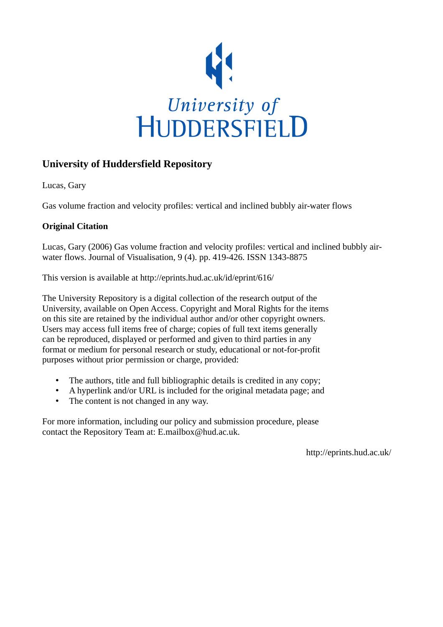

### **University of Huddersfield Repository**

Lucas, Gary

Gas volume fraction and velocity profiles: vertical and inclined bubbly air-water flows

#### **Original Citation**

Lucas, Gary (2006) Gas volume fraction and velocity profiles: vertical and inclined bubbly airwater flows. Journal of Visualisation, 9 (4). pp. 419-426. ISSN 1343-8875

This version is available at http://eprints.hud.ac.uk/id/eprint/616/

The University Repository is a digital collection of the research output of the University, available on Open Access. Copyright and Moral Rights for the items on this site are retained by the individual author and/or other copyright owners. Users may access full items free of charge; copies of full text items generally can be reproduced, displayed or performed and given to third parties in any format or medium for personal research or study, educational or not-for-profit purposes without prior permission or charge, provided:

- The authors, title and full bibliographic details is credited in any copy;
- A hyperlink and/or URL is included for the original metadata page; and
- The content is not changed in any way.

For more information, including our policy and submission procedure, please contact the Repository Team at: E.mailbox@hud.ac.uk.

http://eprints.hud.ac.uk/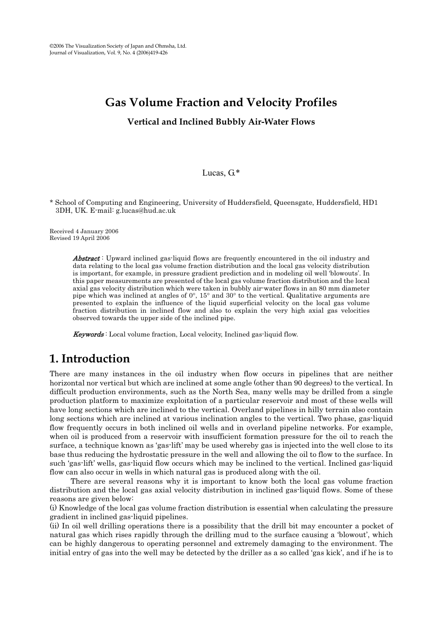# **Gas Volume Fraction and Velocity Profiles**

**Vertical and Inclined Bubbly Air-Water Flows** 

#### Lucas, G.\*

\* School of Computing and Engineering, University of Huddersfield, Queensgate, Huddersfield, HD1 3DH, UK. E-mail: g.lucas@hud.ac.uk

Received 4 January 2006 Revised 19 April 2006

> **Abstract**: Upward inclined gas-liquid flows are frequently encountered in the oil industry and data relating to the local gas volume fraction distribution and the local gas velocity distribution is important, for example, in pressure gradient prediction and in modeling oil well 'blowouts'. In this paper measurements are presented of the local gas volume fraction distribution and the local axial gas velocity distribution which were taken in bubbly air-water flows in an 80 mm diameter pipe which was inclined at angles of 0°, 15° and 30° to the vertical. Qualitative arguments are presented to explain the influence of the liquid superficial velocity on the local gas volume fraction distribution in inclined flow and also to explain the very high axial gas velocities observed towards the upper side of the inclined pipe.

Keywords : Local volume fraction, Local velocity, Inclined gas-liquid flow.

## **1. Introduction**

There are many instances in the oil industry when flow occurs in pipelines that are neither horizontal nor vertical but which are inclined at some angle (other than 90 degrees) to the vertical. In difficult production environments, such as the North Sea, many wells may be drilled from a single production platform to maximize exploitation of a particular reservoir and most of these wells will have long sections which are inclined to the vertical. Overland pipelines in hilly terrain also contain long sections which are inclined at various inclination angles to the vertical. Two phase, gas-liquid flow frequently occurs in both inclined oil wells and in overland pipeline networks. For example, when oil is produced from a reservoir with insufficient formation pressure for the oil to reach the surface, a technique known as 'gas-lift' may be used whereby gas is injected into the well close to its base thus reducing the hydrostatic pressure in the well and allowing the oil to flow to the surface. In such 'gas-lift' wells, gas-liquid flow occurs which may be inclined to the vertical. Inclined gas-liquid flow can also occur in wells in which natural gas is produced along with the oil.

There are several reasons why it is important to know both the local gas volume fraction distribution and the local gas axial velocity distribution in inclined gas-liquid flows. Some of these reasons are given below:

(i) Knowledge of the local gas volume fraction distribution is essential when calculating the pressure gradient in inclined gas-liquid pipelines.

(ii) In oil well drilling operations there is a possibility that the drill bit may encounter a pocket of natural gas which rises rapidly through the drilling mud to the surface causing a 'blowout', which can be highly dangerous to operating personnel and extremely damaging to the environment. The initial entry of gas into the well may be detected by the driller as a so called 'gas kick', and if he is to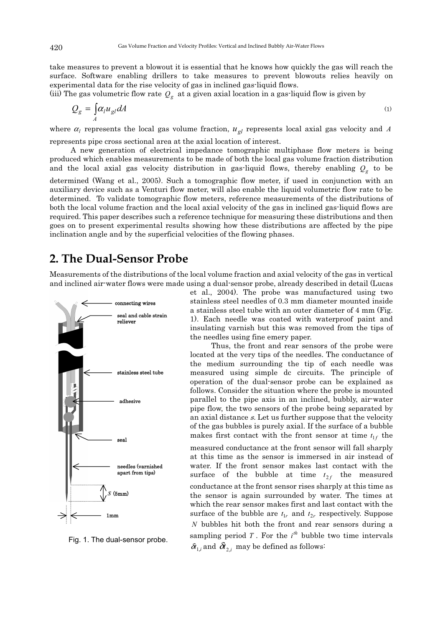take measures to prevent a blowout it is essential that he knows how quickly the gas will reach the surface. Software enabling drillers to take measures to prevent blowouts relies heavily on experimental data for the rise velocity of gas in inclined gas-liquid flows.

(iii) The gas volumetric flow rate  $Q_g$  at a given axial location in a gas-liquid flow is given by

$$
Q_g = \int_A \alpha_l u_{gl} dA \tag{1}
$$

where  $\alpha_l$  represents the local gas volume fraction,  $u_{gl}$  represents local axial gas velocity and A represents pipe cross sectional area at the axial location of interest.

A new generation of electrical impedance tomographic multiphase flow meters is being produced which enables measurements to be made of both the local gas volume fraction distribution and the local axial gas velocity distribution in gas-liquid flows, thereby enabling  $Q_g$  to be determined (Wang et al., 2005). Such a tomographic flow meter, if used in conjunction with an auxiliary device such as a Venturi flow meter, will also enable the liquid volumetric flow rate to be determined. To validate tomographic flow meters, reference measurements of the distributions of both the local volume fraction and the local axial velocity of the gas in inclined gas-liquid flows are required. This paper describes such a reference technique for measuring these distributions and then goes on to present experimental results showing how these distributions are affected by the pipe inclination angle and by the superficial velocities of the flowing phases.

### **2. The Dual-Sensor Probe**

Measurements of the distributions of the local volume fraction and axial velocity of the gas in vertical and inclined air-water flows were made using a dual-sensor probe, already described in detail (Lucas



Fig. 1. The dual-sensor probe.

et al., 2004). The probe was manufactured using two stainless steel needles of 0.3 mm diameter mounted inside a stainless steel tube with an outer diameter of 4 mm (Fig. 1). Each needle was coated with waterproof paint and insulating varnish but this was removed from the tips of the needles using fine emery paper.

Thus, the front and rear sensors of the probe were located at the very tips of the needles. The conductance of the medium surrounding the tip of each needle was measured using simple dc circuits. The principle of operation of the dual-sensor probe can be explained as follows. Consider the situation where the probe is mounted parallel to the pipe axis in an inclined, bubbly, air-water pipe flow, the two sensors of the probe being separated by an axial distance s. Let us further suppose that the velocity of the gas bubbles is purely axial. If the surface of a bubble makes first contact with the front sensor at time  $t_{1f}$  the

measured conductance at the front sensor will fall sharply at this time as the sensor is immersed in air instead of water. If the front sensor makes last contact with the surface of the bubble at time  $t_{2f}$  the measured conductance at the front sensor rises sharply at this time as the sensor is again surrounded by water. The times at which the rear sensor makes first and last contact with the surface of the bubble are  $t_{1r}$  and  $t_{2r}$  respectively. Suppose *N* bubbles hit both the front and rear sensors during a sampling period  $T$ . For the  $i<sup>th</sup>$  bubble two time intervals  $\delta t_{1,i}$  and  $\delta t_{2,i}$  may be defined as follows: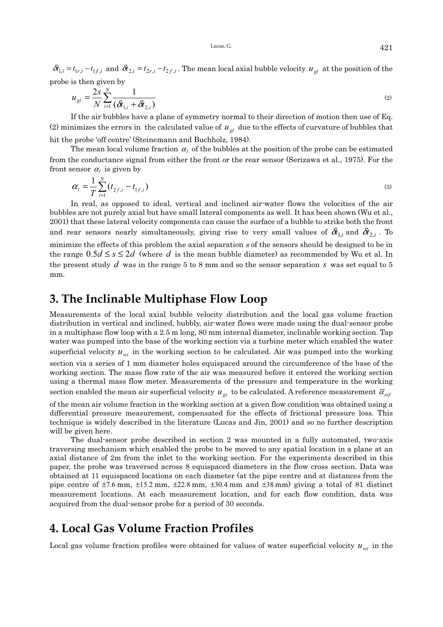Lucas, G.  $421$ 

 $\delta t_{1,i} = t_{1r,i} - t_{1f,i}$  and  $\delta t_{2,i} = t_{2r,i} - t_{2f,i}$ . The mean local axial bubble velocity  $u_{gl}$  at the position of the probe is then given by

$$
u_{gl} = \frac{2s}{N} \sum_{i=1}^{N} \frac{1}{(\delta t_{1,i} + \delta t_{2,i})}
$$
 (2)

If the air bubbles have a plane of symmetry normal to their direction of motion then use of Eq. (2) minimizes the errors in the calculated value of  $u_{g}$  due to the effects of curvature of bubbles that hit the probe 'off centre' (Steinemann and Buchholz, 1984).

The mean local volume fraction  $\alpha_l$  of the bubbles at the position of the probe can be estimated from the conductance signal from either the front or the rear sensor (Serizawa et al., 1975). For the front sensor  $\alpha_l$  is given by

$$
\alpha_{l} = \frac{1}{T} \sum_{i=1}^{N} (t_{2f,i} - t_{1f,i})
$$
\n(3)

In real, as opposed to ideal, vertical and inclined air-water flows the velocities of the air bubbles are not purely axial but have small lateral components as well. It has been shown (Wu et al., 2001) that these lateral velocity components can cause the surface of a bubble to strike both the front and rear sensors nearly simultaneously, giving rise to very small values of  $\delta t_{1,i}$  and  $\delta t_{2,i}$ . To minimize the effects of this problem the axial separation  $s$  of the sensors should be designed to be in the range  $0.5d \leq s \leq 2d$  (where *d* is the mean bubble diameter) as recommended by Wu et al. In the present study *d* was in the range 5 to 8 mm and so the sensor separation *s* was set equal to 5

## **3. The Inclinable Multiphase Flow Loop**

mm.

Measurements of the local axial bubble velocity distribution and the local gas volume fraction distribution in vertical and inclined, bubbly, air-water flows were made using the dual-sensor probe in a multiphase flow loop with a 2.5 m long, 80 mm internal diameter, inclinable working section. Tap water was pumped into the base of the working section via a turbine meter which enabled the water superficial velocity  $u_{ws}$  in the working section to be calculated. Air was pumped into the working

section via a series of 1 mm diameter holes equispaced around the circumference of the base of the working section. The mass flow rate of the air was measured before it entered the working section using a thermal mass flow meter. Measurements of the pressure and temperature in the working section enabled the mean air superficial velocity  $u_{\sigma s}$  to be calculated. A reference measurement  $\bar{\alpha}_{ref}$ 

of the mean air volume fraction in the working section at a given flow condition was obtained using a differential pressure measurement, compensated for the effects of frictional pressure loss. This technique is widely described in the literature (Lucas and Jin, 2001) and so no further description will be given here.

The dual-sensor probe described in section 2 was mounted in a fully automated, two-axis traversing mechanism which enabled the probe to be moved to any spatial location in a plane at an axial distance of 2m from the inlet to the working section. For the experiments described in this paper, the probe was traversed across 8 equispaced diameters in the flow cross section. Data was obtained at 11 equispaced locations on each diameter (at the pipe centre and at distances from the pipe centre of  $\pm$ 7.6 mm,  $\pm$ 15.2 mm,  $\pm$ 22.8 mm,  $\pm$ 30.4 mm and  $\pm$ 38 mm) giving a total of 81 distinct measurement locations. At each measurement location, and for each flow condition, data was acquired from the dual-sensor probe for a period of 30 seconds.

### **4. Local Gas Volume Fraction Profiles**

Local gas volume fraction profiles were obtained for values of water superficial velocity  $u_{ws}$  in the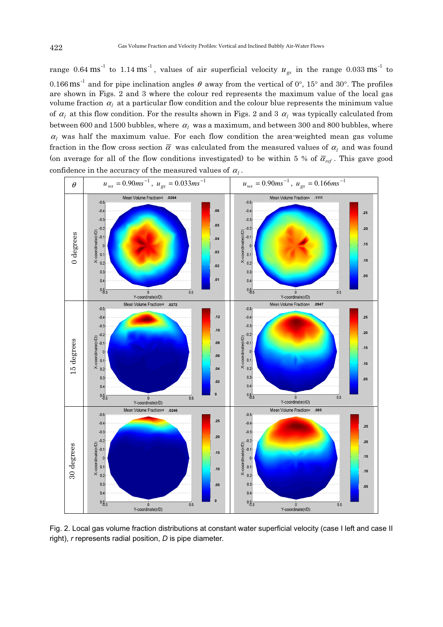range 0.64 ms<sup>-1</sup> to 1.14 ms<sup>-1</sup>, values of air superficial velocity  $u_{gs}$  in the range 0.033 ms<sup>-1</sup> to 0.166  $\text{ms}^{-1}$  and for pipe inclination angles  $\theta$  away from the vertical of 0°, 15° and 30°. The profiles are shown in Figs. 2 and 3 where the colour red represents the maximum value of the local gas volume fraction  $\alpha_l$  at a particular flow condition and the colour blue represents the minimum value of  $\alpha_l$  at this flow condition. For the results shown in Figs. 2 and 3  $\alpha_l$  was typically calculated from between 600 and 1500 bubbles, where  $\alpha_l$  was a maximum, and between 300 and 800 bubbles, where  $\alpha_l$  was half the maximum value. For each flow condition the area-weighted mean gas volume fraction in the flow cross section  $\overline{\alpha}$  was calculated from the measured values of  $\alpha_l$  and was found (on average for all of the flow conditions investigated) to be within 5 % of  $\overline{\alpha}_{ref}$ . This gave good confidence in the accuracy of the measured values of  $\alpha_l$  .



Fig. 2. Local gas volume fraction distributions at constant water superficial velocity (case I left and case II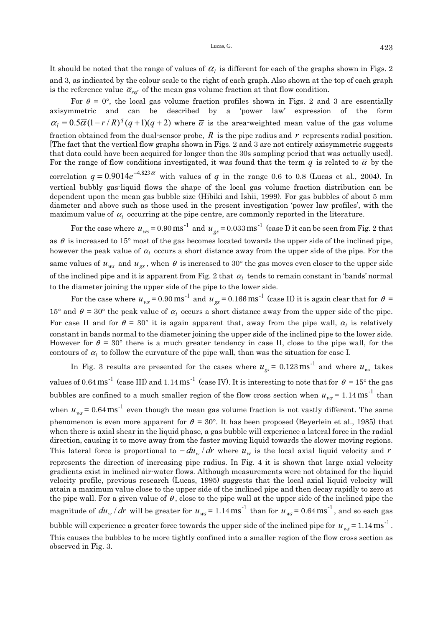It should be noted that the range of values of  $\alpha_{l}$  is different for each of the graphs shown in Figs. 2 and 3, as indicated by the colour scale to the right of each graph. Also shown at the top of each graph is the reference value  $\bar{\alpha}_{ref}$  of the mean gas volume fraction at that flow condition.

For  $\theta = 0^{\circ}$ , the local gas volume fraction profiles shown in Figs. 2 and 3 are essentially axisymmetric and can be described by a 'power law' expression of the form  $\alpha_l = 0.5 \overline{\alpha} (1 - r/R)^q (q+1)(q+2)$  where  $\overline{\alpha}$  is the area-weighted mean value of the gas volume fraction obtained from the dual-sensor probe,  $R$  is the pipe radius and  $r$  represents radial position. [The fact that the vertical flow graphs shown in Figs. 2 and 3 are not entirely axisymmetric suggests that data could have been acquired for longer than the 30s sampling period that was actually used]. For the range of flow conditions investigated, it was found that the term *q* is related to  $\bar{\alpha}$  by the correlation  $q = 0.9014e^{-4.823\bar{\alpha}}$  with values of *q* in the range 0.6 to 0.8 (Lucas et al., 2004). In vertical bubbly gas-liquid flows the shape of the local gas volume fraction distribution can be dependent upon the mean gas bubble size (Hibiki and Ishii, 1999). For gas bubbles of about 5 mm diameter and above such as those used in the present investigation 'power law profiles', with the maximum value of  $\alpha_l$  occurring at the pipe centre, are commonly reported in the literature.

For the case where  $u_{ws} = 0.90 \text{ ms}^{-1}$  and  $u_{gs} = 0.033 \text{ ms}^{-1}$  (case I) it can be seen from Fig. 2 that as  $\theta$  is increased to 15° most of the gas becomes located towards the upper side of the inclined pipe, however the peak value of  $\alpha_l$  occurs a short distance away from the upper side of the pipe. For the same values of  $u_{ws}$  and  $u_{gs}$ , when  $\theta$  is increased to 30° the gas moves even closer to the upper side of the inclined pipe and it is apparent from Fig. 2 that  $\alpha_l$  tends to remain constant in 'bands' normal to the diameter joining the upper side of the pipe to the lower side.

For the case where  $u_{ws} = 0.90 \text{ ms}^{-1}$  and  $u_{gs} = 0.166 \text{ ms}^{-1}$  (case II) it is again clear that for  $\theta =$ 15° and  $\theta = 30$ ° the peak value of  $\alpha_l$  occurs a short distance away from the upper side of the pipe. For case II and for  $\theta = 30^{\circ}$  it is again apparent that, away from the pipe wall,  $\alpha_l$  is relatively constant in bands normal to the diameter joining the upper side of the inclined pipe to the lower side. However for  $\theta = 30^{\circ}$  there is a much greater tendency in case II, close to the pipe wall, for the contours of  $\alpha_l$  to follow the curvature of the pipe wall, than was the situation for case I.

In Fig. 3 results are presented for the cases where  $u_{gs} = 0.123 \text{ ms}^{-1}$  and where  $u_{ws}$  takes values of 0.64  $\text{ms}^{-1}$  (case III) and 1.14  $\text{ms}^{-1}$  (case IV). It is interesting to note that for  $\theta = 15^{\circ}$  the gas bubbles are confined to a much smaller region of the flow cross section when  $u_{we} = 1.14 \text{ ms}^{-1}$  than when  $u_{ws} = 0.64 \text{ ms}^{-1}$  even though the mean gas volume fraction is not vastly different. The same phenomenon is even more apparent for  $\theta = 30^{\circ}$ . It has been proposed (Beyerlein et al., 1985) that when there is axial shear in the liquid phase, a gas bubble will experience a lateral force in the radial direction, causing it to move away from the faster moving liquid towards the slower moving regions. This lateral force is proportional to  $-du_w/dr$  where  $u_w$  is the local axial liquid velocity and r represents the direction of increasing pipe radius. In Fig. 4 it is shown that large axial velocity gradients exist in inclined air-water flows. Although measurements were not obtained for the liquid velocity profile, previous research (Lucas, 1995) suggests that the local axial liquid velocity will attain a maximum value close to the upper side of the inclined pipe and then decay rapidly to zero at the pipe wall. For a given value of  $\theta$ , close to the pipe wall at the upper side of the inclined pipe the magnitude of  $du_w / dr$  will be greater for  $u_{ws} = 1.14 \text{ ms}^{-1}$  than for  $u_{ws} = 0.64 \text{ ms}^{-1}$ , and so each gas

bubble will experience a greater force towards the upper side of the inclined pipe for  $u_{\text{w}} = 1.14 \text{ ms}^{-1}$ . This causes the bubbles to be more tightly confined into a smaller region of the flow cross section as observed in Fig. 3.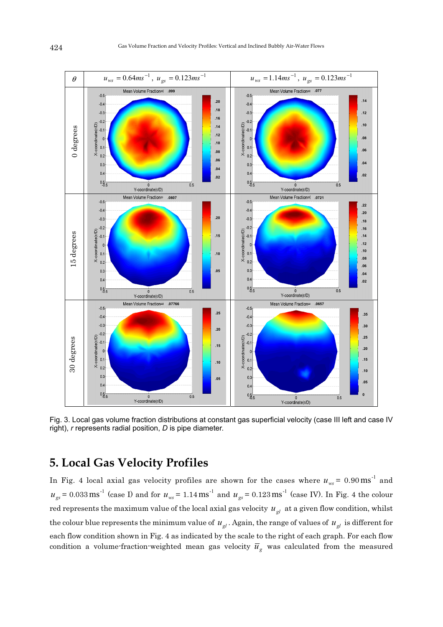

Fig. 3. Local gas volume fraction distributions at constant gas superficial velocity (case III left and case IV right), *r* represents radial position, *D* is pipe diameter.

## **5. Local Gas Velocity Profiles**

In Fig. 4 local axial gas velocity profiles are shown for the cases where  $u_{ws} = 0.90 \text{ ms}^{-1}$  and  $u_{gs} = 0.033 \text{ ms}^{-1}$  (case I) and for  $u_{ws} = 1.14 \text{ ms}^{-1}$  and  $u_{gs} = 0.123 \text{ ms}^{-1}$  (case IV). In Fig. 4 the colour red represents the maximum value of the local axial gas velocity  $u_{gl}$  at a given flow condition, whilst the colour blue represents the minimum value of  $u_{gl}$ . Again, the range of values of  $u_{gl}$  is different for each flow condition shown in Fig. 4 as indicated by the scale to the right of each graph. For each flow condition a volume-fraction-weighted mean gas velocity  $\overline{u}_g$  was calculated from the measured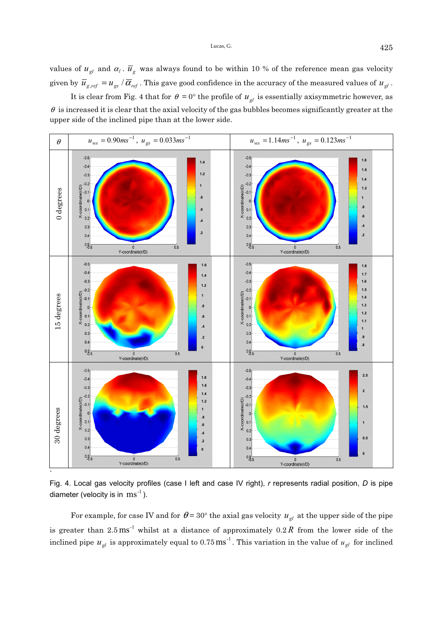values of  $u_{gl}$  and  $\alpha_l$ .  $\overline{u}_g$  was always found to be within 10 % of the reference mean gas velocity given by  $\bar{u}_{g,ref} = u_{gs}/\bar{\alpha}_{ref}$  . This gave good confidence in the accuracy of the measured values of  $u_{gl}$ .

It is clear from Fig. 4 that for  $\theta = 0^{\circ}$  the profile of  $u_{gl}$  is essentially axisymmetric however, as  $\theta$  is increased it is clear that the axial velocity of the gas bubbles becomes significantly greater at the upper side of the inclined pipe than at the lower side.



Fig. 4. Local gas velocity profiles (case I left and case IV right), *r* represents radial position, *D* is pipe diameter (velocity is in  $\text{ms}^{-1}$ ).

For example, for case IV and for  $\theta = 30^{\circ}$  the axial gas velocity  $u_{gl}$  at the upper side of the pipe is greater than 2.5 ms<sup>-1</sup> whilst at a distance of approximately 0.2 *R* from the lower side of the inclined pipe  $u_{gl}$  is approximately equal to 0.75 ms<sup>-1</sup>. This variation in the value of  $u_{gl}$  for inclined